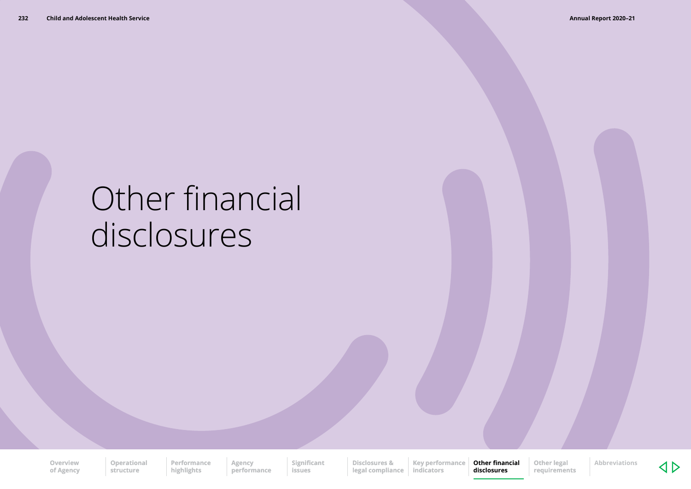# Other financial disclosures

**Overview of Agency** **Operational structure**

**Performance highlights**

**performance Significant issues**

**Agency** 

**Disclosures & legal compliance Key performance indicators**

**Other financial disclosures**

**Other legal requirements**

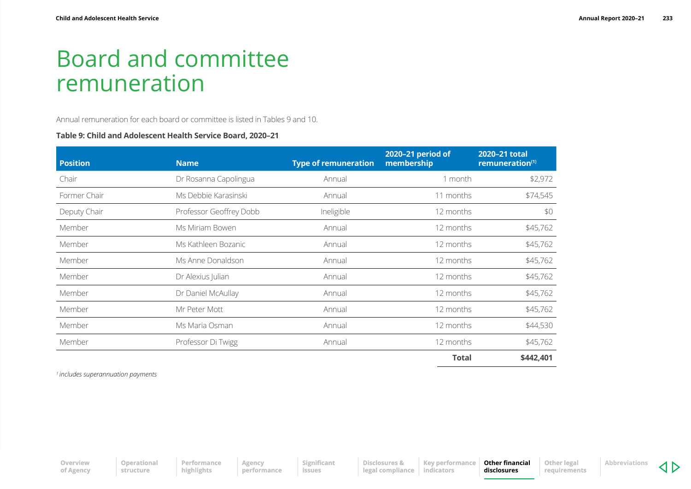## Board and committee remuneration

Annual remuneration for each board or committee is listed in Tables 9 and 10.

#### **Table 9: Child and Adolescent Health Service Board, 2020–21**

| <b>Position</b> | <b>Name</b>             | <b>Type of remuneration</b> | 2020-21 period of<br>membership | 2020-21 total<br>remuneration <sup>(1)</sup> |
|-----------------|-------------------------|-----------------------------|---------------------------------|----------------------------------------------|
| Chair           | Dr Rosanna Capolingua   | Annual                      | 1 month                         | \$2,972                                      |
| Former Chair    | Ms Debbie Karasinski    | Annual                      | 11 months                       | \$74,545                                     |
| Deputy Chair    | Professor Geoffrey Dobb | Ineligible                  | 12 months                       | \$0                                          |
| Member          | Ms Miriam Bowen         | Annual                      | 12 months                       | \$45,762                                     |
| Member          | Ms Kathleen Bozanic     | Annual                      | 12 months                       | \$45,762                                     |
| Member          | Ms Anne Donaldson       | Annual                      | 12 months                       | \$45,762                                     |
| Member          | Dr Alexius Julian       | Annual                      | 12 months                       | \$45,762                                     |
| Member          | Dr Daniel McAullay      | Annual                      | 12 months                       | \$45,762                                     |
| Member          | Mr Peter Mott           | Annual                      | 12 months                       | \$45,762                                     |
| Member          | Ms Maria Osman          | Annual                      | 12 months                       | \$44,530                                     |
| Member          | Professor Di Twigg      | Annual                      | 12 months                       | \$45,762                                     |
|                 |                         |                             | <b>Total</b>                    | \$442,401                                    |

*1 includes superannuation payments*

**Overview of Agency**

**Agency performance** **Disclosures & legal compliance** **Other financial disclosures Other legal requirements**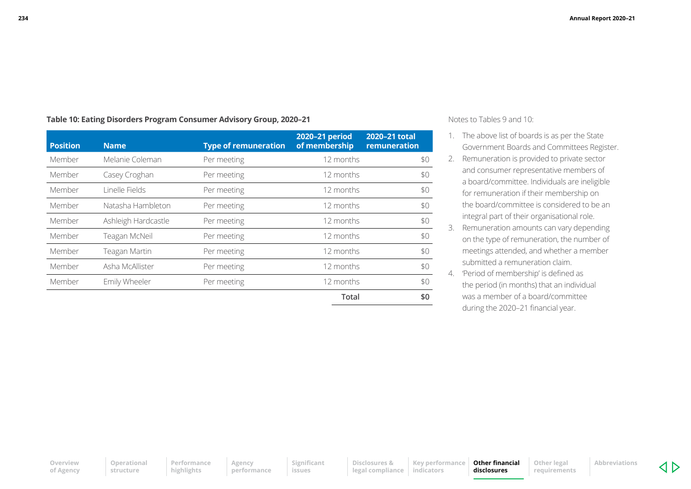| Table 10: Eating Disorders Program Consumer Advisory Group, 2020–21 |  |
|---------------------------------------------------------------------|--|
|---------------------------------------------------------------------|--|

| <b>Position</b> | <b>Name</b>         | <b>Type of remuneration</b> | 2020-21 period<br>of membership | 2020-21 total<br>remuneration |
|-----------------|---------------------|-----------------------------|---------------------------------|-------------------------------|
| Member          | Melanie Coleman     | Per meeting                 | 12 months                       | \$0                           |
| Member          | Casey Croghan       | Per meeting                 | 12 months                       | \$0                           |
| Member          | Linelle Fields      | Per meeting                 | 12 months                       | \$0                           |
| Member          | Natasha Hambleton   | Per meeting                 | 12 months                       | \$0                           |
| Member          | Ashleigh Hardcastle | Per meeting                 | 12 months                       | \$0                           |
| Member          | Teagan McNeil       | Per meeting                 | 12 months                       | \$0                           |
| Member          | Teagan Martin       | Per meeting                 | 12 months                       | \$0                           |
| Member          | Asha McAllister     | Per meeting                 | 12 months                       | \$0                           |
| Member          | Emily Wheeler       | Per meeting                 | 12 months                       | \$0                           |
|                 |                     |                             | Total                           | \$0                           |

Notes to Tables 9 and 10:

- 1. The above list of boards is as per the State Government Boards and Committees Register.
- 2. Remuneration is provided to private sector and consumer representative members of a board/committee. Individuals are ineligible for remuneration if their membership on the board/committee is considered to be an integral part of their organisational role.
- 3. Remuneration amounts can vary depending on the type of remuneration, the number of meetings attended, and whether a member submitted a remuneration claim.
- 4. 'Period of membership' is defined as the period (in months) that an individual was a member of a board/committee during the 2020–21 financial year.

**Operational structure Performance highlights**

**Agency performance**

**Significant issues**

**Disclosures & legal compliance indicators**

**Key performance Other financial disclosures**

**Other legal requirements**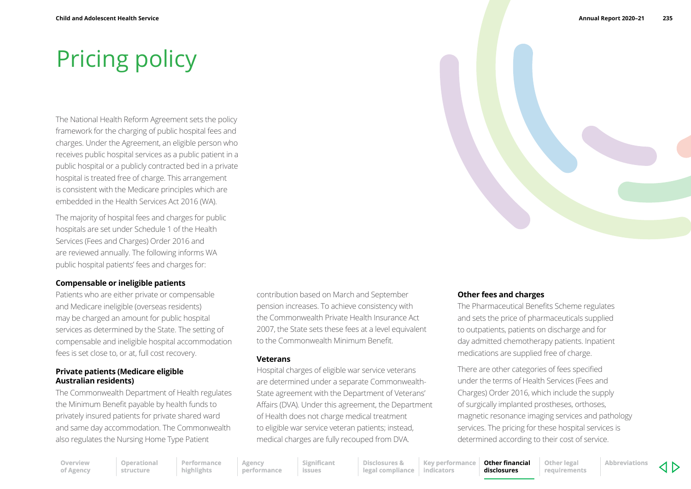## Pricing policy

The National Health Reform Agreement sets the policy framework for the charging of public hospital fees and charges. Under the Agreement, an eligible person who receives public hospital services as a public patient in a public hospital or a publicly contracted bed in a private hospital is treated free of charge. This arrangement is consistent with the Medicare principles which are embedded in the Health Services Act 2016 (WA).

The majority of hospital fees and charges for public hospitals are set under Schedule 1 of the Health Services (Fees and Charges) Order 2016 and are reviewed annually. The following informs WA public hospital patients' fees and charges for:

#### **Compensable or ineligible patients**

Patients who are either private or compensable and Medicare ineligible (overseas residents) may be charged an amount for public hospital services as determined by the State. The setting of compensable and ineligible hospital accommodation fees is set close to, or at, full cost recovery.

#### **Private patients (Medicare eligible Australian residents)**

The Commonwealth Department of Health regulates the Minimum Benefit payable by health funds to privately insured patients for private shared ward and same day accommodation. The Commonwealth also regulates the Nursing Home Type Patient

contribution based on March and September pension increases. To achieve consistency with the Commonwealth Private Health Insurance Act 2007, the State sets these fees at a level equivalent to the Commonwealth Minimum Benefit.

#### **Veterans**

Hospital charges of eligible war service veterans are determined under a separate Commonwealth-State agreement with the Department of Veterans' Affairs (DVA). Under this agreement, the Department of Health does not charge medical treatment to eligible war service veteran patients; instead, medical charges are fully recouped from DVA.



#### **Other fees and charges**

The Pharmaceutical Benefits Scheme regulates and sets the price of pharmaceuticals supplied to outpatients, patients on discharge and for day admitted chemotherapy patients. Inpatient medications are supplied free of charge.

There are other categories of fees specified under the terms of Health Services (Fees and Charges) Order 2016, which include the supply of surgically implanted prostheses, orthoses, magnetic resonance imaging services and pathology services. The pricing for these hospital services is determined according to their cost of service.

**Overview of Agency** **Operational structure Performance highlights**

**Agency performance**

**Significant issues**

**Disclosures & legal compliance indicators**

**Key performance** 

**Other financial disclosures Other legal requirements**

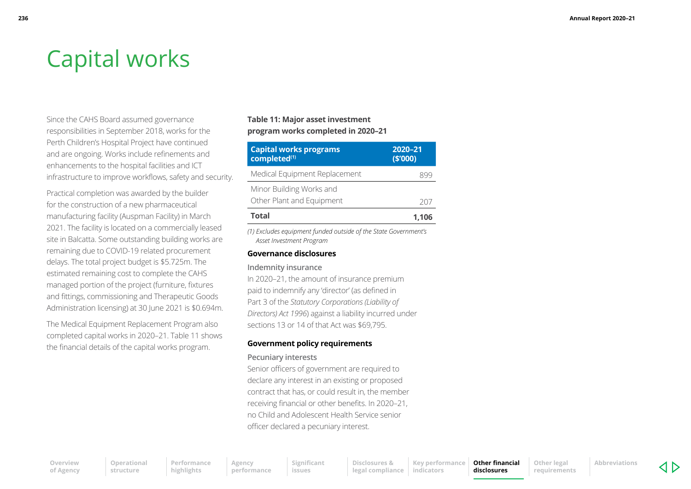## Capital works

Since the CAHS Board assumed governance responsibilities in September 2018, works for the Perth Children's Hospital Project have continued and are ongoing. Works include refinements and enhancements to the hospital facilities and ICT infrastructure to improve workflows, safety and security.

Practical completion was awarded by the builder for the construction of a new pharmaceutical manufacturing facility (Auspman Facility) in March 2021. The facility is located on a commercially leased site in Balcatta. Some outstanding building works are remaining due to COVID-19 related procurement delays. The total project budget is \$5.725m. The estimated remaining cost to complete the CAHS managed portion of the project (furniture, fixtures and fittings, commissioning and Therapeutic Goods Administration licensing) at 30 June 2021 is \$0.694m.

The Medical Equipment Replacement Program also completed capital works in 2020–21. Table 11 shows the financial details of the capital works program.

#### **Table 11: Major asset investment program works completed in 2020–21**

| <b>Capital works programs</b><br>completed <sup>(1)</sup> | 2020-21<br>(5'000) |  |
|-----------------------------------------------------------|--------------------|--|
| Medical Equipment Replacement                             |                    |  |
| Minor Building Works and<br>Other Plant and Equipment     | 207                |  |
| <b>Total</b>                                              | 1,106              |  |

*(1) Excludes equipment funded outside of the State Government's Asset Investment Program*

#### **Governance disclosures**

#### **Indemnity insurance**

In 2020–21, the amount of insurance premium paid to indemnify any 'director' (as defined in Part 3 of the *Statutory Corporations (Liability of Directors) Act 1996*) against a liability incurred under sections 13 or 14 of that Act was \$69,795.

#### **Government policy requirements**

#### **Pecuniary interests**

Senior officers of government are required to declare any interest in an existing or proposed contract that has, or could result in, the member receiving financial or other benefits. In 2020–21, no Child and Adolescent Health Service senior officer declared a pecuniary interest.

**Overview of Agency** **Performance highlights**

**Other legal requirements**